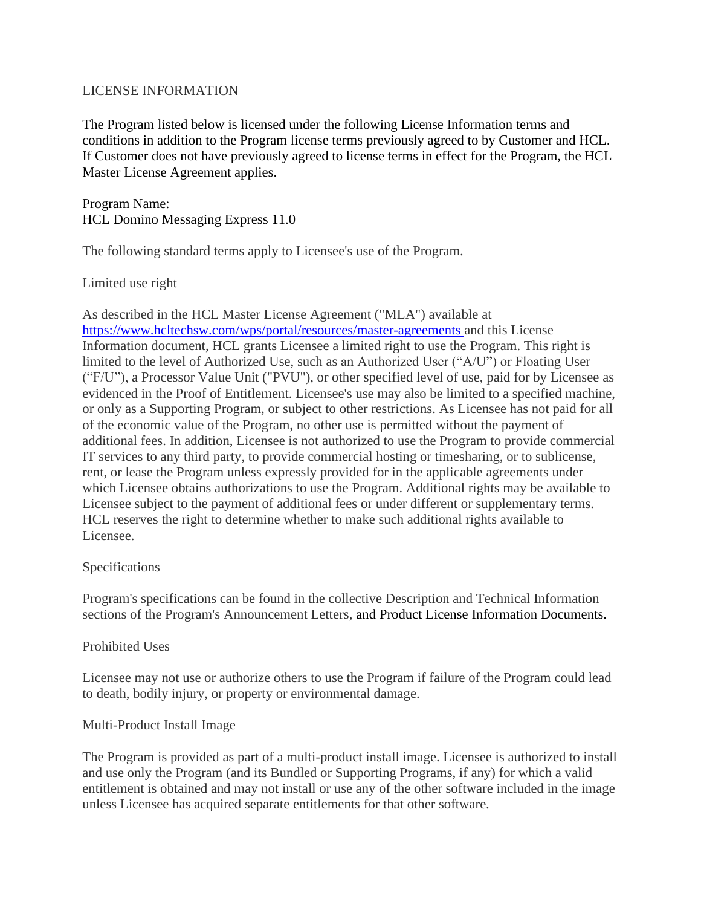### LICENSE INFORMATION

The Program listed below is licensed under the following License Information terms and conditions in addition to the Program license terms previously agreed to by Customer and HCL. If Customer does not have previously agreed to license terms in effect for the Program, the HCL Master License Agreement applies.

Program Name: HCL Domino Messaging Express 11.0

The following standard terms apply to Licensee's use of the Program.

Limited use right

As described in the HCL Master License Agreement ("MLA") available at <https://www.hcltechsw.com/wps/portal/resources/master-agreements> and this License Information document, HCL grants Licensee a limited right to use the Program. This right is limited to the level of Authorized Use, such as an Authorized User ("A/U") or Floating User ("F/U"), a Processor Value Unit ("PVU"), or other specified level of use, paid for by Licensee as evidenced in the Proof of Entitlement. Licensee's use may also be limited to a specified machine, or only as a Supporting Program, or subject to other restrictions. As Licensee has not paid for all of the economic value of the Program, no other use is permitted without the payment of additional fees. In addition, Licensee is not authorized to use the Program to provide commercial IT services to any third party, to provide commercial hosting or timesharing, or to sublicense, rent, or lease the Program unless expressly provided for in the applicable agreements under which Licensee obtains authorizations to use the Program. Additional rights may be available to Licensee subject to the payment of additional fees or under different or supplementary terms. HCL reserves the right to determine whether to make such additional rights available to Licensee.

### Specifications

Program's specifications can be found in the collective Description and Technical Information sections of the Program's Announcement Letters, and Product License Information Documents.

### Prohibited Uses

Licensee may not use or authorize others to use the Program if failure of the Program could lead to death, bodily injury, or property or environmental damage.

### Multi-Product Install Image

The Program is provided as part of a multi-product install image. Licensee is authorized to install and use only the Program (and its Bundled or Supporting Programs, if any) for which a valid entitlement is obtained and may not install or use any of the other software included in the image unless Licensee has acquired separate entitlements for that other software.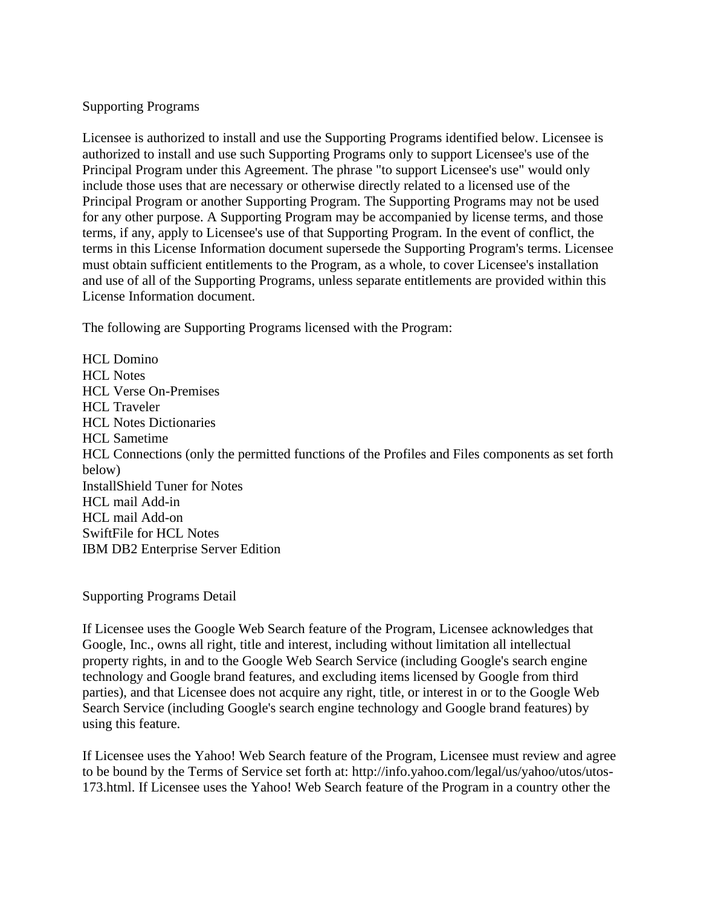### Supporting Programs

Licensee is authorized to install and use the Supporting Programs identified below. Licensee is authorized to install and use such Supporting Programs only to support Licensee's use of the Principal Program under this Agreement. The phrase "to support Licensee's use" would only include those uses that are necessary or otherwise directly related to a licensed use of the Principal Program or another Supporting Program. The Supporting Programs may not be used for any other purpose. A Supporting Program may be accompanied by license terms, and those terms, if any, apply to Licensee's use of that Supporting Program. In the event of conflict, the terms in this License Information document supersede the Supporting Program's terms. Licensee must obtain sufficient entitlements to the Program, as a whole, to cover Licensee's installation and use of all of the Supporting Programs, unless separate entitlements are provided within this License Information document.

The following are Supporting Programs licensed with the Program:

HCL Domino HCL Notes HCL Verse On-Premises HCL Traveler HCL Notes Dictionaries HCL Sametime HCL Connections (only the permitted functions of the Profiles and Files components as set forth below) InstallShield Tuner for Notes HCL mail Add-in HCL mail Add-on SwiftFile for HCL Notes IBM DB2 Enterprise Server Edition

Supporting Programs Detail

If Licensee uses the Google Web Search feature of the Program, Licensee acknowledges that Google, Inc., owns all right, title and interest, including without limitation all intellectual property rights, in and to the Google Web Search Service (including Google's search engine technology and Google brand features, and excluding items licensed by Google from third parties), and that Licensee does not acquire any right, title, or interest in or to the Google Web Search Service (including Google's search engine technology and Google brand features) by using this feature.

If Licensee uses the Yahoo! Web Search feature of the Program, Licensee must review and agree to be bound by the Terms of Service set forth at: http://info.yahoo.com/legal/us/yahoo/utos/utos-173.html. If Licensee uses the Yahoo! Web Search feature of the Program in a country other the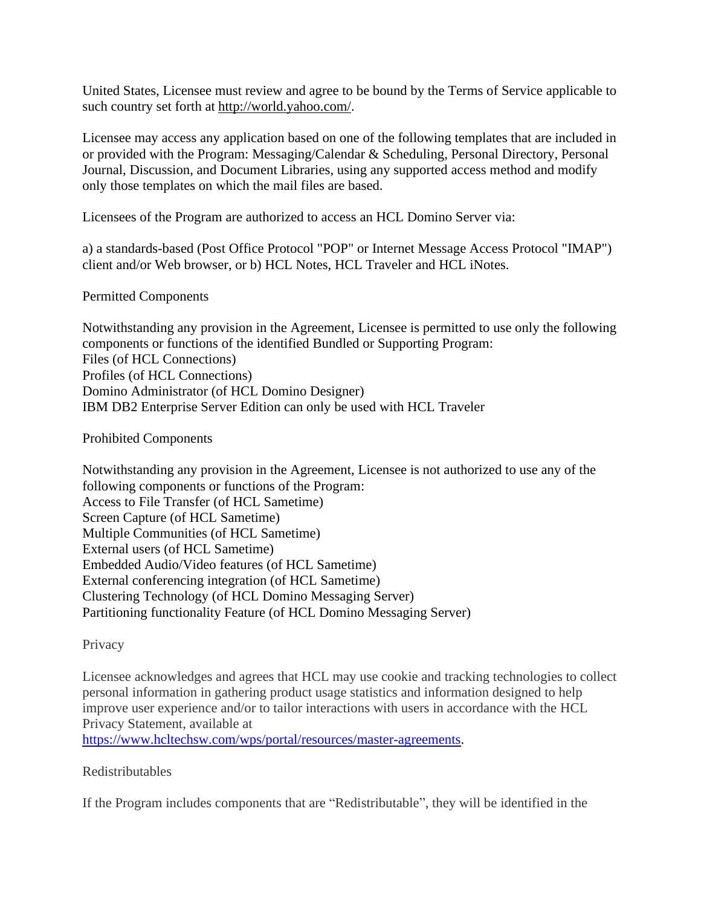United States, Licensee must review and agree to be bound by the Terms of Service applicable to such country set forth at [http://world.yahoo.com/.](http://world.yahoo.com/)

Licensee may access any application based on one of the following templates that are included in or provided with the Program: Messaging/Calendar & Scheduling, Personal Directory, Personal Journal, Discussion, and Document Libraries, using any supported access method and modify only those templates on which the mail files are based.

Licensees of the Program are authorized to access an HCL Domino Server via:

a) a standards-based (Post Office Protocol "POP" or Internet Message Access Protocol "IMAP") client and/or Web browser, or b) HCL Notes, HCL Traveler and HCL iNotes.

Permitted Components

Notwithstanding any provision in the Agreement, Licensee is permitted to use only the following components or functions of the identified Bundled or Supporting Program: Files (of HCL Connections) Profiles (of HCL Connections) Domino Administrator (of HCL Domino Designer) IBM DB2 Enterprise Server Edition can only be used with HCL Traveler

Prohibited Components

Notwithstanding any provision in the Agreement, Licensee is not authorized to use any of the following components or functions of the Program: Access to File Transfer (of HCL Sametime) Screen Capture (of HCL Sametime) Multiple Communities (of HCL Sametime) External users (of HCL Sametime) Embedded Audio/Video features (of HCL Sametime) External conferencing integration (of HCL Sametime) Clustering Technology (of HCL Domino Messaging Server) Partitioning functionality Feature (of HCL Domino Messaging Server)

Privacy

Licensee acknowledges and agrees that HCL may use cookie and tracking technologies to collect personal information in gathering product usage statistics and information designed to help improve user experience and/or to tailor interactions with users in accordance with the HCL Privacy Statement, available at

[https://www.hcltechsw.com/wps/portal/resources/master-agreements.](https://www.hcltechsw.com/wps/portal/resources/master-agreements)

Redistributables

If the Program includes components that are "Redistributable", they will be identified in the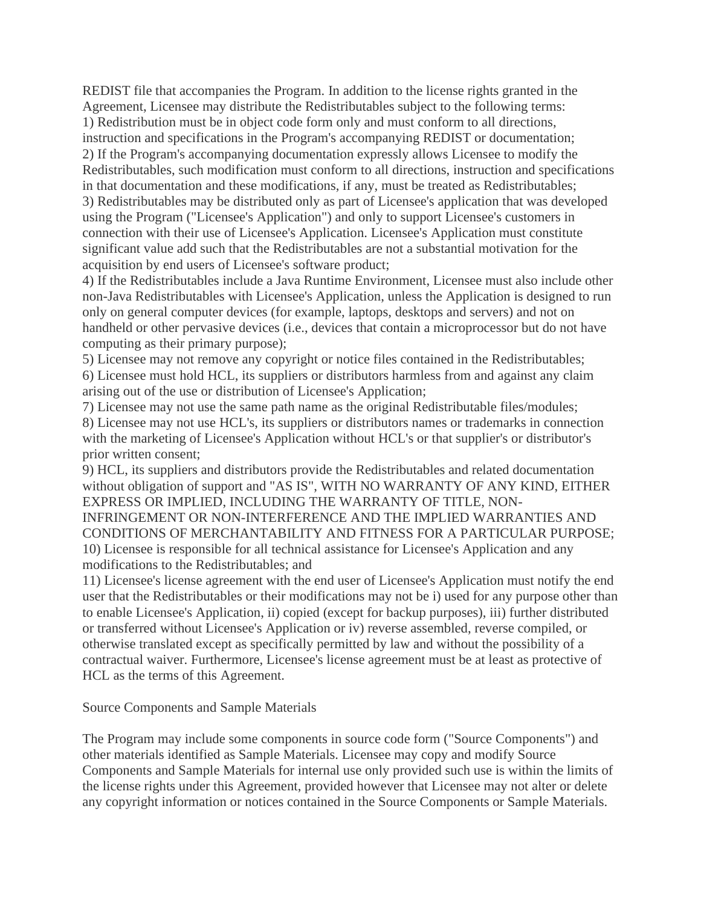REDIST file that accompanies the Program. In addition to the license rights granted in the Agreement, Licensee may distribute the Redistributables subject to the following terms:

1) Redistribution must be in object code form only and must conform to all directions,

instruction and specifications in the Program's accompanying REDIST or documentation; 2) If the Program's accompanying documentation expressly allows Licensee to modify the Redistributables, such modification must conform to all directions, instruction and specifications in that documentation and these modifications, if any, must be treated as Redistributables; 3) Redistributables may be distributed only as part of Licensee's application that was developed using the Program ("Licensee's Application") and only to support Licensee's customers in connection with their use of Licensee's Application. Licensee's Application must constitute significant value add such that the Redistributables are not a substantial motivation for the acquisition by end users of Licensee's software product;

4) If the Redistributables include a Java Runtime Environment, Licensee must also include other non-Java Redistributables with Licensee's Application, unless the Application is designed to run only on general computer devices (for example, laptops, desktops and servers) and not on handheld or other pervasive devices (i.e., devices that contain a microprocessor but do not have computing as their primary purpose);

5) Licensee may not remove any copyright or notice files contained in the Redistributables; 6) Licensee must hold HCL, its suppliers or distributors harmless from and against any claim arising out of the use or distribution of Licensee's Application;

7) Licensee may not use the same path name as the original Redistributable files/modules;

8) Licensee may not use HCL's, its suppliers or distributors names or trademarks in connection with the marketing of Licensee's Application without HCL's or that supplier's or distributor's prior written consent;

9) HCL, its suppliers and distributors provide the Redistributables and related documentation without obligation of support and "AS IS", WITH NO WARRANTY OF ANY KIND, EITHER EXPRESS OR IMPLIED, INCLUDING THE WARRANTY OF TITLE, NON-INFRINGEMENT OR NON-INTERFERENCE AND THE IMPLIED WARRANTIES AND CONDITIONS OF MERCHANTABILITY AND FITNESS FOR A PARTICULAR PURPOSE; 10) Licensee is responsible for all technical assistance for Licensee's Application and any modifications to the Redistributables; and

11) Licensee's license agreement with the end user of Licensee's Application must notify the end user that the Redistributables or their modifications may not be i) used for any purpose other than to enable Licensee's Application, ii) copied (except for backup purposes), iii) further distributed or transferred without Licensee's Application or iv) reverse assembled, reverse compiled, or otherwise translated except as specifically permitted by law and without the possibility of a contractual waiver. Furthermore, Licensee's license agreement must be at least as protective of HCL as the terms of this Agreement.

Source Components and Sample Materials

The Program may include some components in source code form ("Source Components") and other materials identified as Sample Materials. Licensee may copy and modify Source Components and Sample Materials for internal use only provided such use is within the limits of the license rights under this Agreement, provided however that Licensee may not alter or delete any copyright information or notices contained in the Source Components or Sample Materials.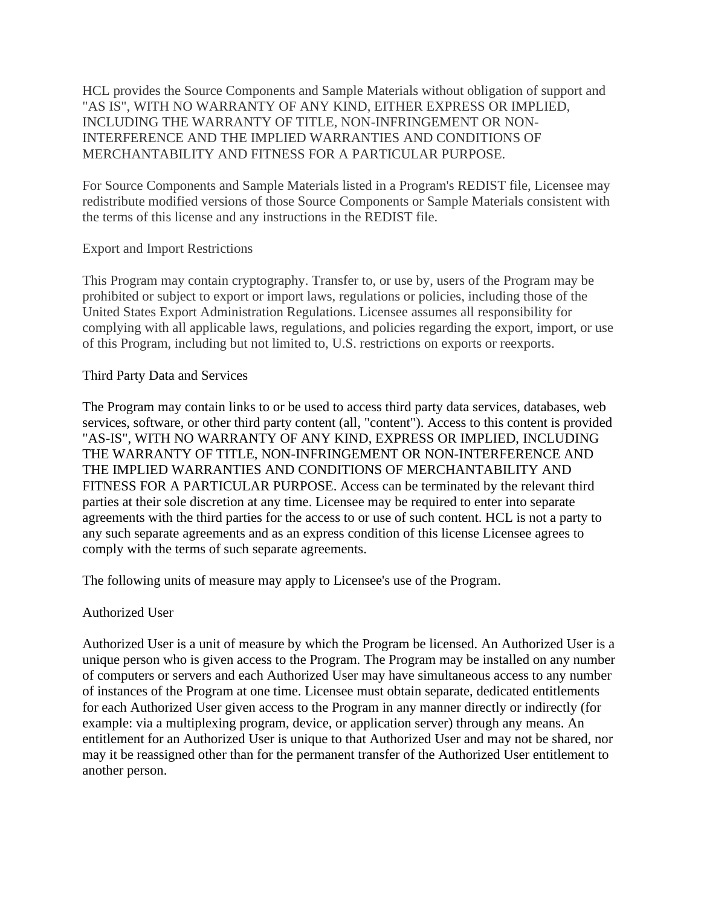HCL provides the Source Components and Sample Materials without obligation of support and "AS IS", WITH NO WARRANTY OF ANY KIND, EITHER EXPRESS OR IMPLIED, INCLUDING THE WARRANTY OF TITLE, NON-INFRINGEMENT OR NON-INTERFERENCE AND THE IMPLIED WARRANTIES AND CONDITIONS OF MERCHANTABILITY AND FITNESS FOR A PARTICULAR PURPOSE.

For Source Components and Sample Materials listed in a Program's REDIST file, Licensee may redistribute modified versions of those Source Components or Sample Materials consistent with the terms of this license and any instructions in the REDIST file.

### Export and Import Restrictions

This Program may contain cryptography. Transfer to, or use by, users of the Program may be prohibited or subject to export or import laws, regulations or policies, including those of the United States Export Administration Regulations. Licensee assumes all responsibility for complying with all applicable laws, regulations, and policies regarding the export, import, or use of this Program, including but not limited to, U.S. restrictions on exports or reexports.

### Third Party Data and Services

The Program may contain links to or be used to access third party data services, databases, web services, software, or other third party content (all, "content"). Access to this content is provided "AS-IS", WITH NO WARRANTY OF ANY KIND, EXPRESS OR IMPLIED, INCLUDING THE WARRANTY OF TITLE, NON-INFRINGEMENT OR NON-INTERFERENCE AND THE IMPLIED WARRANTIES AND CONDITIONS OF MERCHANTABILITY AND FITNESS FOR A PARTICULAR PURPOSE. Access can be terminated by the relevant third parties at their sole discretion at any time. Licensee may be required to enter into separate agreements with the third parties for the access to or use of such content. HCL is not a party to any such separate agreements and as an express condition of this license Licensee agrees to comply with the terms of such separate agreements.

The following units of measure may apply to Licensee's use of the Program.

# Authorized User

Authorized User is a unit of measure by which the Program be licensed. An Authorized User is a unique person who is given access to the Program. The Program may be installed on any number of computers or servers and each Authorized User may have simultaneous access to any number of instances of the Program at one time. Licensee must obtain separate, dedicated entitlements for each Authorized User given access to the Program in any manner directly or indirectly (for example: via a multiplexing program, device, or application server) through any means. An entitlement for an Authorized User is unique to that Authorized User and may not be shared, nor may it be reassigned other than for the permanent transfer of the Authorized User entitlement to another person.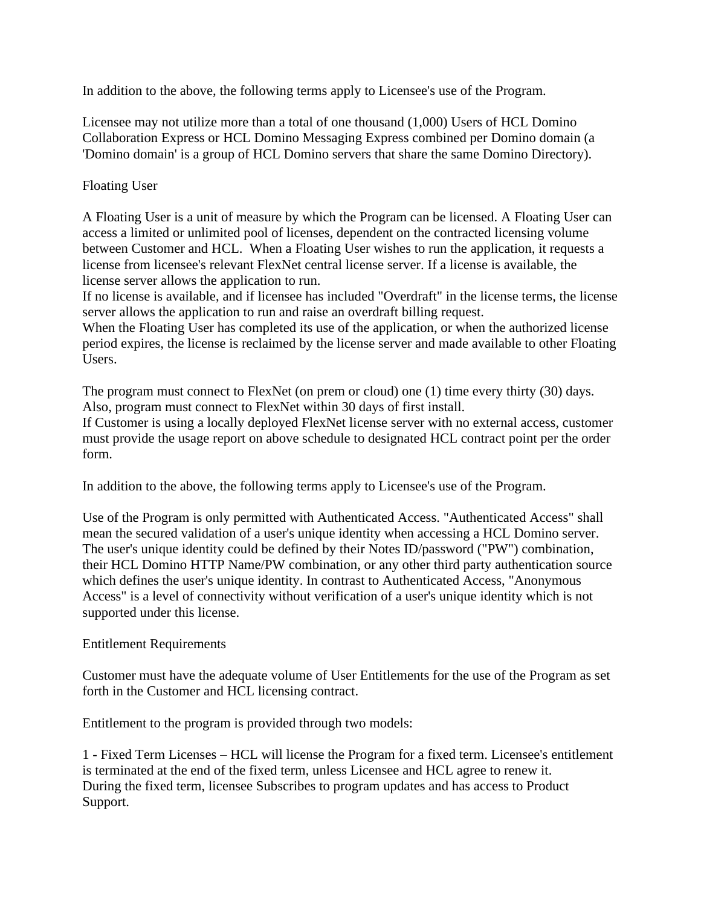In addition to the above, the following terms apply to Licensee's use of the Program.

Licensee may not utilize more than a total of one thousand (1,000) Users of HCL Domino Collaboration Express or HCL Domino Messaging Express combined per Domino domain (a 'Domino domain' is a group of HCL Domino servers that share the same Domino Directory).

## Floating User

A Floating User is a unit of measure by which the Program can be licensed. A Floating User can access a limited or unlimited pool of licenses, dependent on the contracted licensing volume between Customer and HCL. When a Floating User wishes to run the application, it requests a license from licensee's relevant FlexNet central license server. If a license is available, the license server allows the application to run.

If no license is available, and if licensee has included "Overdraft" in the license terms, the license server allows the application to run and raise an overdraft billing request.

When the Floating User has completed its use of the application, or when the authorized license period expires, the license is reclaimed by the license server and made available to other Floating Users.

The program must connect to FlexNet (on prem or cloud) one (1) time every thirty (30) days. Also, program must connect to FlexNet within 30 days of first install.

If Customer is using a locally deployed FlexNet license server with no external access, customer must provide the usage report on above schedule to designated HCL contract point per the order form.

In addition to the above, the following terms apply to Licensee's use of the Program.

Use of the Program is only permitted with Authenticated Access. "Authenticated Access" shall mean the secured validation of a user's unique identity when accessing a HCL Domino server. The user's unique identity could be defined by their Notes ID/password ("PW") combination, their HCL Domino HTTP Name/PW combination, or any other third party authentication source which defines the user's unique identity. In contrast to Authenticated Access, "Anonymous Access" is a level of connectivity without verification of a user's unique identity which is not supported under this license.

### Entitlement Requirements

Customer must have the adequate volume of User Entitlements for the use of the Program as set forth in the Customer and HCL licensing contract.

Entitlement to the program is provided through two models:

1 - Fixed Term Licenses – HCL will license the Program for a fixed term. Licensee's entitlement is terminated at the end of the fixed term, unless Licensee and HCL agree to renew it. During the fixed term, licensee Subscribes to program updates and has access to Product Support.